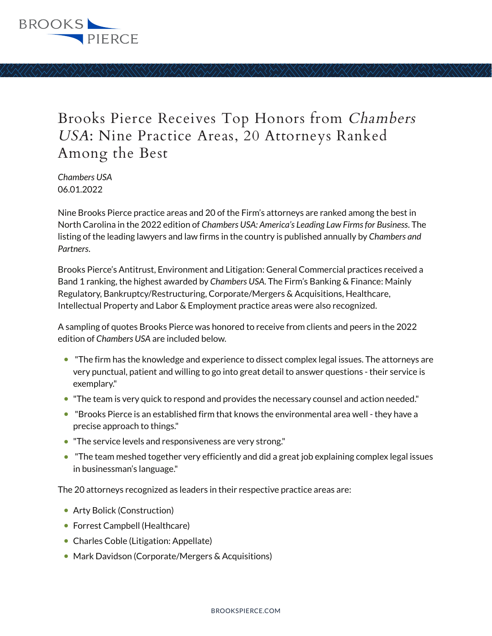

## Brooks Pierce Receives Top Honors from Chambers USA: Nine Practice Areas, 20 Attorneys Ranked Among the Best

*Chambers USA* 06.01.2022

Nine Brooks Pierce practice areas and 20 of the Firm's attorneys are ranked among the best in North Carolina in the 2022 edition of *Chambers USA: America's Leading Law Firms for Business*. The listing of the leading lawyers and law firms in the country is published annually by *Chambers and Partners*.

Brooks Pierce's Antitrust, Environment and Litigation: General Commercial practices received a Band 1 ranking, the highest awarded by *Chambers USA*. The Firm's Banking & Finance: Mainly Regulatory, Bankruptcy/Restructuring, Corporate/Mergers & Acquisitions, Healthcare, Intellectual Property and Labor & Employment practice areas were also recognized.

A sampling of quotes Brooks Pierce was honored to receive from clients and peers in the 2022 edition of *Chambers USA* are included below.

- The firm has the knowledge and experience to dissect complex legal issues. The attorneys are very punctual, patient and willing to go into great detail to answer questions - their service is exemplary."
- The team is very quick to respond and provides the necessary counsel and action needed."
- HBrooks Pierce is an established firm that knows the environmental area well they have a precise approach to things."
- "The service levels and responsiveness are very strong."
- The team meshed together very efficiently and did a great job explaining complex legal issues in businessman's language."

The 20 attorneys recognized as leaders in their respective practice areas are:

- Arty Bolick (Construction)
- Forrest Campbell (Healthcare)
- Charles Coble (Litigation: Appellate)
- Mark Davidson (Corporate/Mergers & Acquisitions)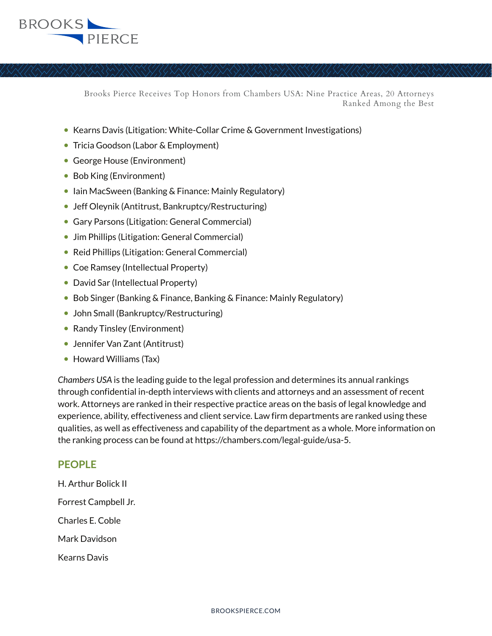

Brooks Pierce Receives Top Honors from Chambers USA: Nine Practice Areas, 20 Attorneys Ranked Among the Best

- Kearns Davis (Litigation: White-Collar Crime & Government Investigations)
- Tricia Goodson (Labor & Employment)
- George House (Environment)
- Bob King (Environment)
- Iain MacSween (Banking & Finance: Mainly Regulatory)
- Jeff Oleynik (Antitrust, Bankruptcy/Restructuring)
- Gary Parsons (Litigation: General Commercial)
- Jim Phillips (Litigation: General Commercial)
- Reid Phillips (Litigation: General Commercial)
- Coe Ramsey (Intellectual Property)
- David Sar (Intellectual Property)
- Bob Singer (Banking & Finance, Banking & Finance: Mainly Regulatory)
- John Small (Bankruptcy/Restructuring)
- Randy Tinsley (Environment)
- Jennifer Van Zant (Antitrust)
- $\bullet$  Howard Williams (Tax)

*Chambers USA* is the leading guide to the legal profession and determines its annual rankings through confidential in-depth interviews with clients and attorneys and an assessment of recent work. Attorneys are ranked in their respective practice areas on the basis of legal knowledge and experience, ability, effectiveness and client service. Law firm departments are ranked using these qualities, as well as effectiveness and capability of the department as a whole. More information on the ranking process can be found at https://chambers.com/legal-guide/usa-5.

## **PEOPLE**

H. Arthur Bolick II Forrest Campbell Jr. Charles E. Coble Mark Davidson Kearns Davis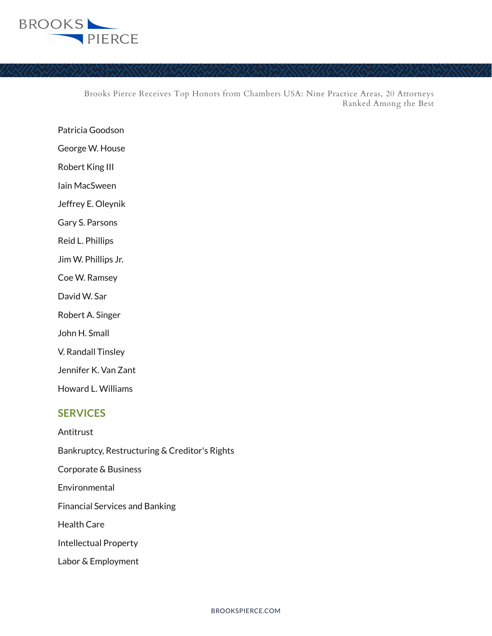

Brooks Pierce Receives Top Honors from Chambers USA: Nine Practice Areas, 20 Attorneys Ranked Among the Best

- Patricia Goodson
- George W. House
- Robert King III
- Iain MacSween
- Jeffrey E. Oleynik
- Gary S. Parsons
- Reid L. Phillips
- Jim W. Phillips Jr.
- Coe W. Ramsey
- David W. Sar
- Robert A. Singer
- John H. Small
- V. Randall Tinsley
- Jennifer K. Van Zant
- Howard L. Williams

## **SERVICES**

- Antitrust
- Bankruptcy, Restructuring & Creditor's Rights
- Corporate & Business
- Environmental
- Financial Services and Banking
- Health Care
- Intellectual Property
- Labor & Employment